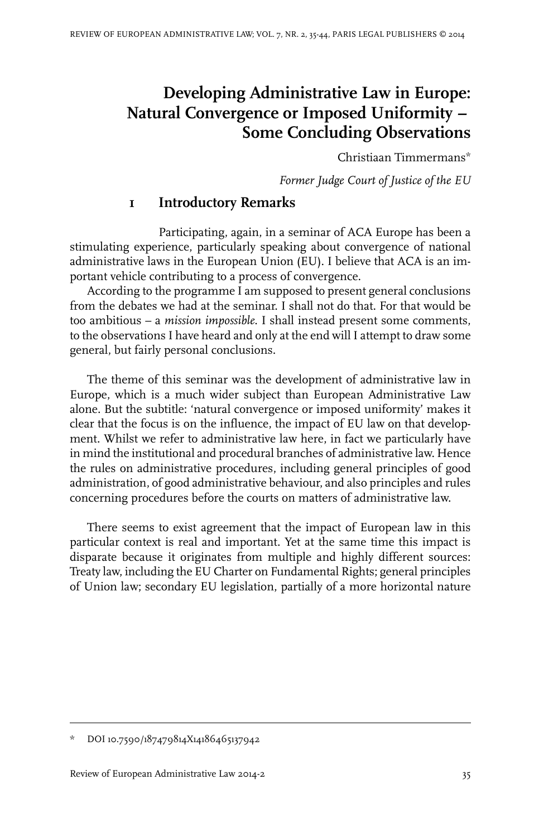# **Developing Administrative Law in Europe: Natural Convergence or Imposed Uniformity** *–* **Some Concluding Observations**

Christiaan Timmermans\*

*Former Judge Court of Justice of the EU*

#### **1 Introductory Remarks**

Participating, again, in a seminar of ACA Europe has been a stimulating experience, particularly speaking about convergence of national administrative laws in the European Union (EU). I believe that ACA is an important vehicle contributing to a process of convergence.

According to the programme I am supposed to present general conclusions from the debates we had at the seminar. I shall not do that. For that would be too ambitious – a *mission impossible*. I shall instead present some comments, to the observations I have heard and only at the end will I attempt to draw some general, but fairly personal conclusions.

The theme of this seminar was the development of administrative law in Europe, which is a much wider subject than European Administrative Law alone. But the subtitle: 'natural convergence or imposed uniformity' makes it clear that the focus is on the influence, the impact of EU law on that development. Whilst we refer to administrative law here, in fact we particularly have in mind the institutional and procedural branches of administrative law. Hence the rules on administrative procedures, including general principles of good administration, of good administrative behaviour, and also principles and rules concerning procedures before the courts on matters of administrative law.

There seems to exist agreement that the impact of European law in this particular context is real and important. Yet at the same time this impact is disparate because it originates from multiple and highly different sources: Treaty law, including the EU Charter on Fundamental Rights; general principles of Union law; secondary EU legislation, partially of a more horizontal nature

DOI 10.7590/187479814X14186465137942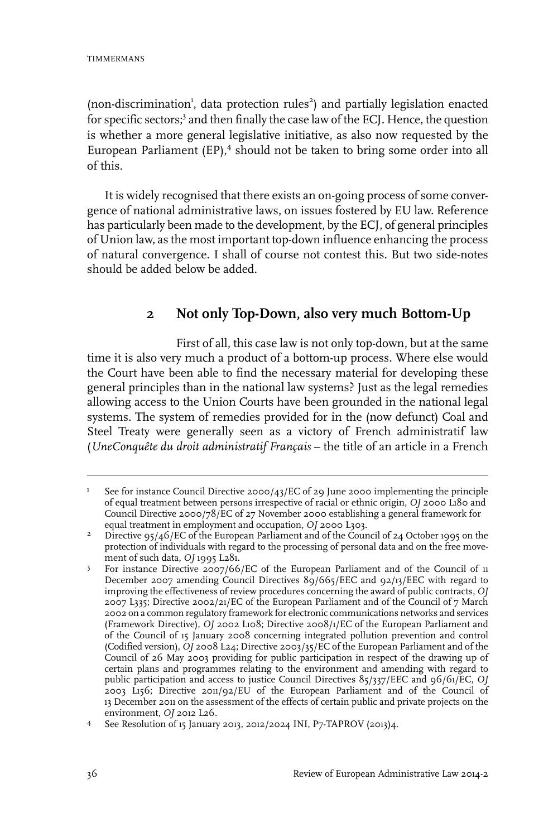(non-discrimination<sup>1</sup>, data protection rules<sup>2</sup>) and partially legislation enacted for specific sectors;<sup>3</sup> and then finally the case law of the ECJ. Hence, the question is whether a more general legislative initiative, as also now requested by the European Parliament (EP),<sup>4</sup> should not be taken to bring some order into all of this.

It is widely recognised that there exists an on-going process of some convergence of national administrative laws, on issues fostered by EU law. Reference has particularly been made to the development, by the ECJ, of general principles of Union law, as the most important top-down influence enhancing the process of natural convergence. I shall of course not contest this. But two side-notes should be added below be added.

### **2 Not only Top-Down, also very much Bottom-Up**

First of all, this case law is not only top-down, but at the same time it is also very much a product of a bottom-up process. Where else would the Court have been able to find the necessary material for developing these general principles than in the national law systems? Just as the legal remedies allowing access to the Union Courts have been grounded in the national legal systems. The system of remedies provided for in the (now defunct) Coal and Steel Treaty were generally seen as a victory of French administratif law (*UneConquête du droit administratif Français* – the title of an article in a French

See for instance Council Directive 2000/43/EC of 29 June 2000 implementing the principle of equal treatment between persons irrespective of racial or ethnic origin, *OJ* 2000 L180 and 1 Council Directive 2000/78/EC of 27 November 2000 establishing a general framework for equal treatment in employment and occupation, *OJ* 2000 L303.

Directive 95/46/EC of the European Parliament and of the Council of 24 October 1995 on the protection of individuals with regard to the processing of personal data and on the free movement of such data, *OJ* 1995 L281. 2

For instance Directive 2007/66/EC of the European Parliament and of the Council of 11 December 2007 amending Council Directives 89/665/EEC and 92/13/EEC with regard to 3 improving the effectiveness of review procedures concerning the award of public contracts, *OJ* 2007 L335; Directive 2002/21/EC of the European Parliament and of the Council of 7 March 2002 on a common regulatory framework for electronic communications networks and services (Framework Directive), *OJ* 2002 L108; Directive 2008/1/EC of the European Parliament and of the Council of 15 January 2008 concerning integrated pollution prevention and control (Codified version), *OJ* 2008 L24; Directive 2003/35/EC of the European Parliament and of the Council of 26 May 2003 providing for public participation in respect of the drawing up of certain plans and programmes relating to the environment and amending with regard to public participation and access to justice Council Directives 85/337/EEC and 96/61/EC, *OJ* 2003 L156; Directive 2011/92/EU of the European Parliament and of the Council of 13 December 2011 on the assessment of the effects of certain public and private projects on the environment, *OJ* 2012 L26.

See Resolution of 15 January 2013, 2012/2024 INI, P7-TAPROV (2013)4. <sup>4</sup>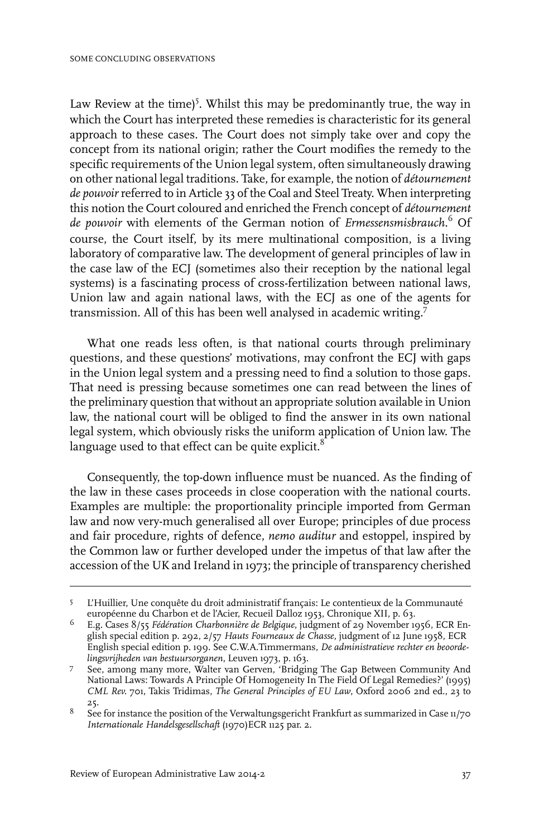Law Review at the time)<sup>5</sup>. Whilst this may be predominantly true, the way in which the Court has interpreted these remedies is characteristic for its general approach to these cases. The Court does not simply take over and copy the concept from its national origin; rather the Court modifies the remedy to the specific requirements of the Union legal system, often simultaneously drawing on other national legal traditions. Take, for example, the notion of *détournement de pouvoir*referred to in Article 33 of the Coal and Steel Treaty. When interpreting this notion the Court coloured and enriched the French concept of *détournement de pouvoir* with elements of the German notion of *Ermessensmisbrauch*. <sup>6</sup> Of course, the Court itself, by its mere multinational composition, is a living laboratory of comparative law. The development of general principles of law in the case law of the ECJ (sometimes also their reception by the national legal systems) is a fascinating process of cross-fertilization between national laws, Union law and again national laws, with the ECJ as one of the agents for transmission. All of this has been well analysed in academic writing.<sup>7</sup>

What one reads less often, is that national courts through preliminary questions, and these questions' motivations, may confront the ECJ with gaps in the Union legal system and a pressing need to find a solution to those gaps. That need is pressing because sometimes one can read between the lines of the preliminary question that without an appropriate solution available in Union law, the national court will be obliged to find the answer in its own national legal system, which obviously risks the uniform application of Union law. The language used to that effect can be quite explicit. $8$ 

Consequently, the top-down influence must be nuanced. As the finding of the law in these cases proceeds in close cooperation with the national courts. Examples are multiple: the proportionality principle imported from German law and now very-much generalised all over Europe; principles of due process and fair procedure, rights of defence, *nemo auditur* and estoppel, inspired by the Common law or further developed under the impetus of that law after the accession of the UK and Ireland in 1973; the principle of transparency cherished

L'Huillier, Une conquête du droit administratif français: Le contentieux de la Communauté européenne du Charbon et de l'Acier, Recueil Dalloz 1953, Chronique XII, p. 63. 5

E.g. Cases 8/55 *Fédération Charbonnière de Belgique*, judgment of 29 November 1956, ECR English special edition p. 292, 2/57 *Hauts Fourneaux de Chasse*, judgment of 12 June 1958, ECR 6 English special edition p. 199. See C.W.A.Timmermans, *De administratieve rechter en beoordelingsvrijheden van bestuursorganen*, Leuven 1973, p. 163.

See, among many more, Walter van Gerven, 'Bridging The Gap Between Community And National Laws: Towards A Principle Of Homogeneity In The Field Of Legal Remedies?' (1995) 7 *CML Rev.* 701, Takis Tridimas, *The General Principles of EU Law*, Oxford 2006 2nd ed., 23 to 25.

 $^8$  See for instance the position of the Verwaltungsgericht Frankfurt as summarized in Case 11/70  $\,$ *Internationale Handelsgesellschaft* (1970)ECR 1125 par. 2.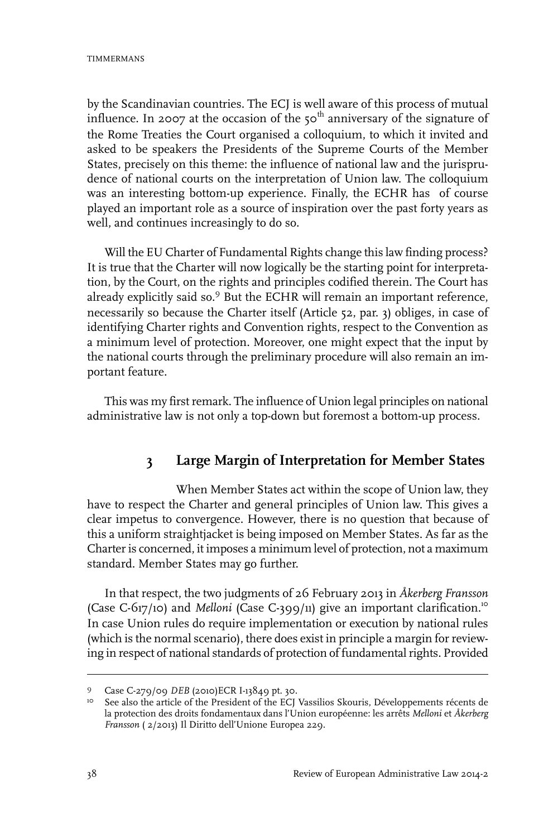by the Scandinavian countries. The ECJ is well aware of this process of mutual influence. In 2007 at the occasion of the  $50<sup>th</sup>$  anniversary of the signature of the Rome Treaties the Court organised a colloquium, to which it invited and asked to be speakers the Presidents of the Supreme Courts of the Member States, precisely on this theme: the influence of national law and the jurisprudence of national courts on the interpretation of Union law. The colloquium was an interesting bottom-up experience. Finally, the ECHR has of course played an important role as a source of inspiration over the past forty years as well, and continues increasingly to do so.

Will the EU Charter of Fundamental Rights change this law finding process? It is true that the Charter will now logically be the starting point for interpretation, by the Court, on the rights and principles codified therein. The Court has already explicitly said so.<sup>9</sup> But the ECHR will remain an important reference, necessarily so because the Charter itself (Article 52, par. 3) obliges, in case of identifying Charter rights and Convention rights, respect to the Convention as a minimum level of protection. Moreover, one might expect that the input by the national courts through the preliminary procedure will also remain an important feature.

This was my first remark. The influence of Union legal principles on national administrative law is not only a top-down but foremost a bottom-up process.

## **3 Large Margin of Interpretation for Member States**

When Member States act within the scope of Union law, they have to respect the Charter and general principles of Union law. This gives a clear impetus to convergence. However, there is no question that because of this a uniform straightjacket is being imposed on Member States. As far as the Charter is concerned, it imposes a minimum level of protection, not a maximum standard. Member States may go further.

In that respect, the two judgments of 26 February 2013 in *Åkerberg Fransson* (Case C-617/10) and *Melloni* (Case C-399/11) give an important clarification.<sup>10</sup> In case Union rules do require implementation or execution by national rules (which is the normal scenario), there does exist in principle a margin for reviewing in respect of national standards of protection of fundamental rights. Provided

<sup>9</sup> Case C-279/09 *DEB* (2010) ECR I-13849 pt. 30.

<sup>&</sup>lt;sup>10</sup> See also the article of the President of the ECJ Vassilios Skouris, Développements récents de la protection des droits fondamentaux dans l'Union européenne: les arrêts *Melloni* et *Åkerberg Fransson* ( 2/2013) Il Diritto dell'Unione Europea 229.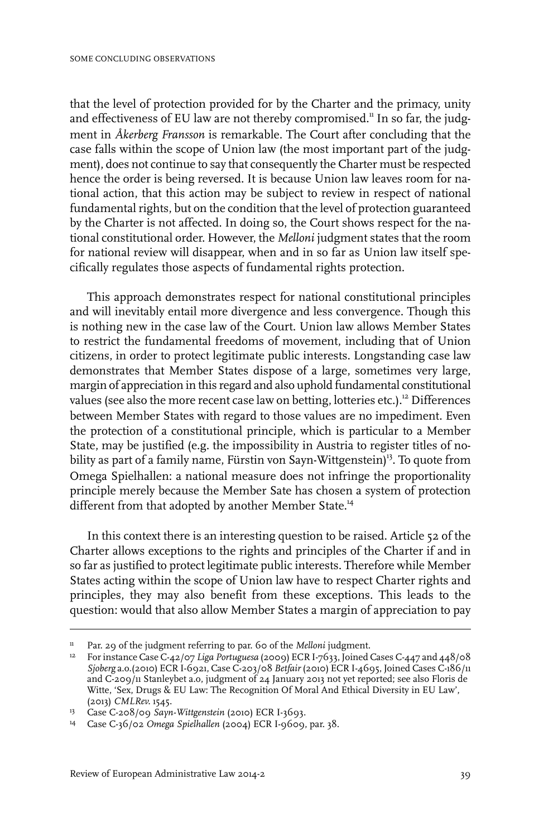that the level of protection provided for by the Charter and the primacy, unity and effectiveness of EU law are not thereby compromised.<sup>11</sup> In so far, the judgment in *Åkerberg Fransson* is remarkable. The Court after concluding that the case falls within the scope of Union law (the most important part of the judgment), does not continue to say that consequently the Charter must be respected hence the order is being reversed. It is because Union law leaves room for national action, that this action may be subject to review in respect of national fundamental rights, but on the condition that the level of protection guaranteed by the Charter is not affected. In doing so, the Court shows respect for the national constitutional order. However, the *Melloni* judgment states that the room for national review will disappear, when and in so far as Union law itself specifically regulates those aspects of fundamental rights protection.

This approach demonstrates respect for national constitutional principles and will inevitably entail more divergence and less convergence. Though this is nothing new in the case law of the Court. Union law allows Member States to restrict the fundamental freedoms of movement, including that of Union citizens, in order to protect legitimate public interests. Longstanding case law demonstrates that Member States dispose of a large, sometimes very large, margin of appreciation in this regard and also uphold fundamental constitutional values (see also the more recent case law on betting, lotteries etc.).<sup>12</sup> Differences between Member States with regard to those values are no impediment. Even the protection of a constitutional principle, which is particular to a Member State, may be justified (e.g. the impossibility in Austria to register titles of nobility as part of a family name, Fürstin von Sayn-Wittgenstein)<sup>13</sup>. To quote from Omega Spielhallen: a national measure does not infringe the proportionality principle merely because the Member Sate has chosen a system of protection different from that adopted by another Member State.<sup>14</sup>

In this context there is an interesting question to be raised. Article 52 of the Charter allows exceptions to the rights and principles of the Charter if and in so far as justified to protect legitimate public interests. Therefore while Member States acting within the scope of Union law have to respect Charter rights and principles, they may also benefit from these exceptions. This leads to the question: would that also allow Member States a margin of appreciation to pay

Par. 29 of the judgment referring to par. 60 of the *Melloni* judgment.

<sup>&</sup>lt;sup>12</sup> For instance Case C-42/07 *Liga Portuguesa* (2009) ECR I-7633, Joined Cases C-447 and 448/08 *Sjoberg* a.o.(2010) ECR I-6921, Case C-203/08 *Betfair* (2010) ECR I-4695, Joined Cases C-186/11 and C-209/11 Stanleybet a.o, judgment of 24 January 2013 not yet reported; see also Floris de Witte, 'Sex, Drugs & EU Law: The Recognition Of Moral And Ethical Diversity in EU Law', (2013) *CMLRev.* 1545.

<sup>&</sup>lt;sup>13</sup> Case C-208/09 Sayn-Wittgenstein (2010) ECR I-3693.

Case C-36/02 *Omega Spielhallen* (2004) ECR I-9609, par. 38. <sup>14</sup>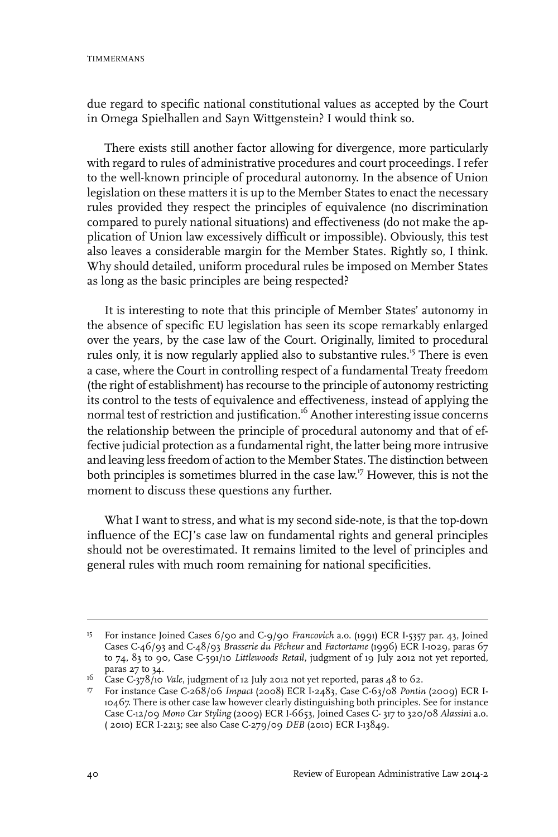due regard to specific national constitutional values as accepted by the Court in Omega Spielhallen and Sayn Wittgenstein? I would think so.

There exists still another factor allowing for divergence, more particularly with regard to rules of administrative procedures and court proceedings. I refer to the well-known principle of procedural autonomy. In the absence of Union legislation on these matters it is up to the Member States to enact the necessary rules provided they respect the principles of equivalence (no discrimination compared to purely national situations) and effectiveness (do not make the application of Union law excessively difficult or impossible). Obviously, this test also leaves a considerable margin for the Member States. Rightly so, I think. Why should detailed, uniform procedural rules be imposed on Member States as long as the basic principles are being respected?

It is interesting to note that this principle of Member States' autonomy in the absence of specific EU legislation has seen its scope remarkably enlarged over the years, by the case law of the Court. Originally, limited to procedural rules only, it is now regularly applied also to substantive rules.<sup>15</sup> There is even a case, where the Court in controlling respect of a fundamental Treaty freedom (the right of establishment) has recourse to the principle of autonomy restricting its control to the tests of equivalence and effectiveness, instead of applying the normal test of restriction and justification.<sup>16</sup> Another interesting issue concerns the relationship between the principle of procedural autonomy and that of effective judicial protection as a fundamental right, the latter being more intrusive and leaving less freedom of action to the Member States. The distinction between both principles is sometimes blurred in the case law.<sup>17</sup> However, this is not the moment to discuss these questions any further.

What I want to stress, and what is my second side-note, is that the top-down influence of the ECJ's case law on fundamental rights and general principles should not be overestimated. It remains limited to the level of principles and general rules with much room remaining for national specificities.

<sup>&</sup>lt;sup>15</sup> For instance Joined Cases 6/90 and C-9/90 *Francovich* a.o. (1991) ECR I-5357 par. 43, Joined Cases C-46/93 and C-48/93 *Brasserie du Pêcheur* and *Factortame* (1996) ECR I-1029, paras 67 to 74, 83 to 90, Case C-591/10 *Littlewoods Retail*, judgment of 19 July 2012 not yet reported, paras 27 to 34.

<sup>&</sup>lt;sup>16</sup> Case C-378/10 *Vale*, judgment of 12 July 2012 not yet reported, paras 48 to 62.

For instance Case C-268/06 *Impact* (2008) ECR I-2483, Case C-63/08 *Pontin* (2009) ECR I-17 10467. There is other case law however clearly distinguishing both principles. See for instance Case C-12/09 *Mono Car Styling* (2009) ECR I-6653, Joined Cases C- 317 to 320/08 *Alassin*i a.o. ( 2010) ECR I-2213; see also Case C-279/09 *DEB* (2010) ECR I-13849.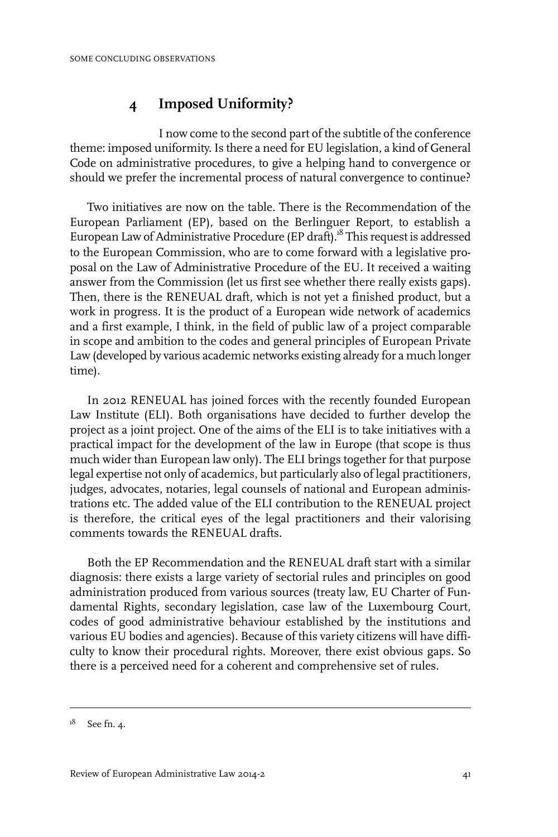### **4 Imposed Uniformity?**

I now come to the second part of the subtitle of the conference theme: imposed uniformity. Is there a need for EU legislation, a kind of General Code on administrative procedures, to give a helping hand to convergence or should we prefer the incremental process of natural convergence to continue?

Two initiatives are now on the table. There is the Recommendation of the European Parliament (EP), based on the Berlinguer Report, to establish a European Law of Administrative Procedure (EP draft).<sup>18</sup> This request is addressed to the European Commission, who are to come forward with a legislative proposal on the Law of Administrative Procedure of the EU. It received a waiting answer from the Commission (let us first see whether there really exists gaps). Then, there is the RENEUAL draft, which is not yet a finished product, but a work in progress. It is the product of a European wide network of academics and a first example, I think, in the field of public law of a project comparable in scope and ambition to the codes and general principles of European Private Law (developed by various academic networks existing already for a much longer time).

In 2012 RENEUAL has joined forces with the recently founded European Law Institute (ELI). Both organisations have decided to further develop the project as a joint project. One of the aims of the ELI is to take initiatives with a practical impact for the development of the law in Europe (that scope is thus much wider than European law only). The ELI brings together for that purpose legal expertise not only of academics, but particularly also of legal practitioners, judges, advocates, notaries, legal counsels of national and European administrations etc. The added value of the ELI contribution to the RENEUAL project is therefore, the critical eyes of the legal practitioners and their valorising comments towards the RENEUAL drafts.

Both the EP Recommendation and the RENEUAL draft start with a similar diagnosis: there exists a large variety of sectorial rules and principles on good administration produced from various sources (treaty law, EU Charter of Fundamental Rights, secondary legislation, case law of the Luxembourg Court, codes of good administrative behaviour established by the institutions and various EU bodies and agencies). Because of this variety citizens will have difficulty to know their procedural rights. Moreover, there exist obvious gaps. So there is a perceived need for a coherent and comprehensive set of rules.

 $18$  See fn. 4.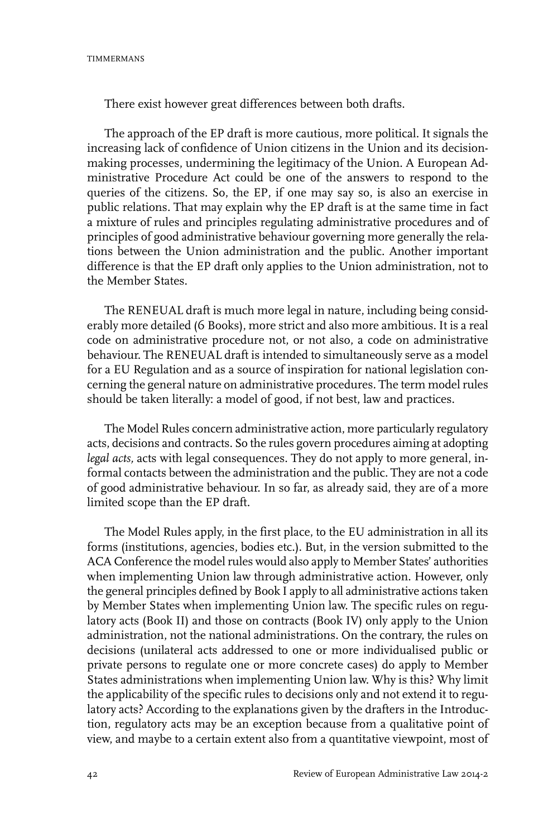There exist however great differences between both drafts.

The approach of the EP draft is more cautious, more political. It signals the increasing lack of confidence of Union citizens in the Union and its decisionmaking processes, undermining the legitimacy of the Union. A European Administrative Procedure Act could be one of the answers to respond to the queries of the citizens. So, the EP, if one may say so, is also an exercise in public relations. That may explain why the EP draft is at the same time in fact a mixture of rules and principles regulating administrative procedures and of principles of good administrative behaviour governing more generally the relations between the Union administration and the public. Another important difference is that the EP draft only applies to the Union administration, not to the Member States.

The RENEUAL draft is much more legal in nature, including being considerably more detailed (6 Books), more strict and also more ambitious. It is a real code on administrative procedure not, or not also, a code on administrative behaviour. The RENEUAL draft is intended to simultaneously serve as a model for a EU Regulation and as a source of inspiration for national legislation concerning the general nature on administrative procedures. The term model rules should be taken literally: a model of good, if not best, law and practices.

The Model Rules concern administrative action, more particularly regulatory acts, decisions and contracts. So the rules govern procedures aiming at adopting *legal acts,* acts with legal consequences. They do not apply to more general, informal contacts between the administration and the public. They are not a code of good administrative behaviour. In so far, as already said, they are of a more limited scope than the EP draft.

The Model Rules apply, in the first place, to the EU administration in all its forms (institutions, agencies, bodies etc.). But, in the version submitted to the ACA Conference the model rules would also apply to Member States' authorities when implementing Union law through administrative action. However, only the general principles defined by Book I apply to all administrative actions taken by Member States when implementing Union law. The specific rules on regulatory acts (Book II) and those on contracts (Book IV) only apply to the Union administration, not the national administrations. On the contrary, the rules on decisions (unilateral acts addressed to one or more individualised public or private persons to regulate one or more concrete cases) do apply to Member States administrations when implementing Union law. Why is this? Why limit the applicability of the specific rules to decisions only and not extend it to regulatory acts? According to the explanations given by the drafters in the Introduction, regulatory acts may be an exception because from a qualitative point of view, and maybe to a certain extent also from a quantitative viewpoint, most of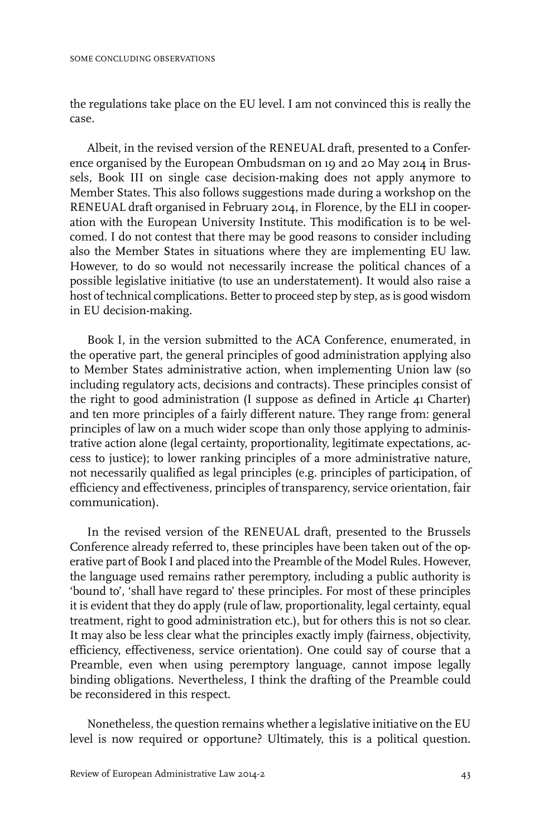the regulations take place on the EU level. I am not convinced this is really the case.

Albeit, in the revised version of the RENEUAL draft, presented to a Conference organised by the European Ombudsman on 19 and 20 May 2014 in Brussels, Book III on single case decision-making does not apply anymore to Member States. This also follows suggestions made during a workshop on the RENEUAL draft organised in February 2014, in Florence, by the ELI in cooperation with the European University Institute. This modification is to be welcomed. I do not contest that there may be good reasons to consider including also the Member States in situations where they are implementing EU law. However, to do so would not necessarily increase the political chances of a possible legislative initiative (to use an understatement). It would also raise a host of technical complications. Better to proceed step by step, as is good wisdom in EU decision-making.

Book I, in the version submitted to the ACA Conference, enumerated, in the operative part, the general principles of good administration applying also to Member States administrative action, when implementing Union law (so including regulatory acts, decisions and contracts). These principles consist of the right to good administration (I suppose as defined in Article 41 Charter) and ten more principles of a fairly different nature. They range from: general principles of law on a much wider scope than only those applying to administrative action alone (legal certainty, proportionality, legitimate expectations, access to justice); to lower ranking principles of a more administrative nature, not necessarily qualified as legal principles (e.g. principles of participation, of efficiency and effectiveness, principles of transparency, service orientation, fair communication).

In the revised version of the RENEUAL draft, presented to the Brussels Conference already referred to, these principles have been taken out of the operative part of Book I and placed into the Preamble of the Model Rules. However, the language used remains rather peremptory, including a public authority is 'bound to', 'shall have regard to' these principles. For most of these principles it is evident that they do apply (rule of law, proportionality, legal certainty, equal treatment, right to good administration etc.), but for others this is not so clear. It may also be less clear what the principles exactly imply (fairness, objectivity, efficiency, effectiveness, service orientation). One could say of course that a Preamble, even when using peremptory language, cannot impose legally binding obligations. Nevertheless, I think the drafting of the Preamble could be reconsidered in this respect.

Nonetheless, the question remains whether a legislative initiative on the EU level is now required or opportune? Ultimately, this is a political question.